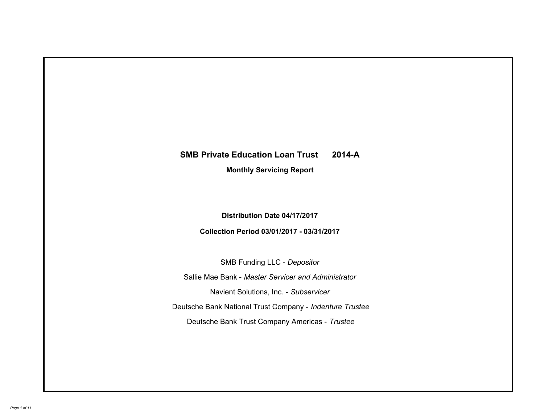# **SMB Private Education Loan Trust 2014-A Monthly Servicing Report**

**Distribution Date 04/17/2017**

**Collection Period 03/01/2017 - 03/31/2017**

SMB Funding LLC - *Depositor*

Sallie Mae Bank - *Master Servicer and Administrator*

Navient Solutions, Inc. - *Subservicer*

Deutsche Bank National Trust Company - *Indenture Trustee*

Deutsche Bank Trust Company Americas - *Trustee*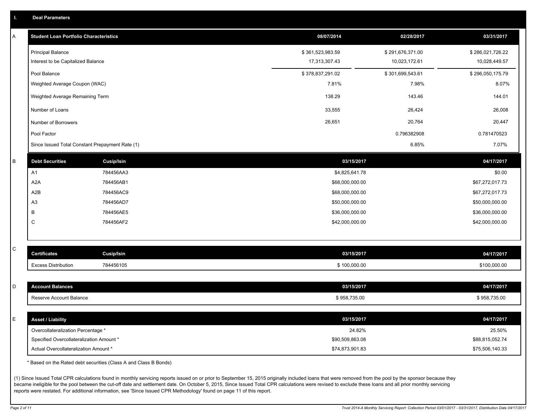|  | <b>Deal Parameters</b> |  |
|--|------------------------|--|
|  |                        |  |

| Α | <b>Student Loan Portfolio Characteristics</b>   |                   | 08/07/2014       | 02/28/2017       | 03/31/2017       |
|---|-------------------------------------------------|-------------------|------------------|------------------|------------------|
|   | <b>Principal Balance</b>                        |                   | \$361,523,983.59 | \$291,676,371.00 | \$286,021,726.22 |
|   | Interest to be Capitalized Balance              |                   | 17,313,307.43    | 10,023,172.61    | 10,028,449.57    |
|   | Pool Balance                                    |                   | \$378,837,291.02 | \$301,699,543.61 | \$296,050,175.79 |
|   | Weighted Average Coupon (WAC)                   |                   | 7.81%            | 7.98%            | 8.07%            |
|   | Weighted Average Remaining Term                 |                   | 138.29           | 143.46           | 144.01           |
|   | Number of Loans                                 |                   | 33,555           | 26,424           | 26,008           |
|   | Number of Borrowers                             |                   | 26,651           | 20,764           | 20,447           |
|   | Pool Factor                                     |                   |                  | 0.796382908      | 0.781470523      |
|   | Since Issued Total Constant Prepayment Rate (1) |                   |                  | 6.85%            | 7.07%            |
| B | <b>Debt Securities</b>                          | <b>Cusip/Isin</b> | 03/15/2017       |                  | 04/17/2017       |
|   | A1                                              | 784456AA3         | \$4,825,641.78   |                  | \$0.00           |
|   | A <sub>2</sub> A                                | 784456AB1         | \$68,000,000.00  |                  | \$67,272,017.73  |
|   | A <sub>2</sub> B                                | 784456AC9         | \$68,000,000.00  |                  | \$67,272,017.73  |
|   | A <sub>3</sub>                                  | 784456AD7         | \$50,000,000.00  |                  | \$50,000,000.00  |
|   | В                                               | 784456AE5         | \$36,000,000.00  |                  | \$36,000,000.00  |
|   | C                                               | 784456AF2         | \$42,000,000.00  |                  | \$42,000,000.00  |
|   |                                                 |                   |                  |                  |                  |
| C | <b>Certificates</b>                             | Cusip/Isin        | 03/15/2017       |                  | 04/17/2017       |
|   | <b>Excess Distribution</b>                      | 784456105         | \$100,000.00     |                  | \$100,000.00     |
|   |                                                 |                   |                  |                  |                  |
| D | <b>Account Balances</b>                         |                   | 03/15/2017       |                  | 04/17/2017       |
|   | Reserve Account Balance                         |                   | \$958,735.00     |                  | \$958,735.00     |
|   |                                                 |                   |                  |                  |                  |
| E | <b>Asset / Liability</b>                        |                   | 03/15/2017       |                  | 04/17/2017       |
|   | Overcollateralization Percentage *              |                   | 24.82%           |                  | 25.50%           |
|   | Specified Overcollateralization Amount *        |                   | \$90,509,863.08  |                  | \$88,815,052.74  |
|   | Actual Overcollateralization Amount *           |                   | \$74,873,901.83  |                  | \$75,506,140.33  |

\* Based on the Rated debt securities (Class A and Class B Bonds)

(1) Since Issued Total CPR calculations found in monthly servicing reports issued on or prior to September 15, 2015 originally included loans that were removed from the pool by the sponsor because they became ineligible for the pool between the cut-off date and settlement date. On October 5, 2015, Since Issued Total CPR calculations were revised to exclude these loans and all prior monthly servicing reports were restated. For additional information, see 'Since Issued CPR Methodology' found on page 11 of this report.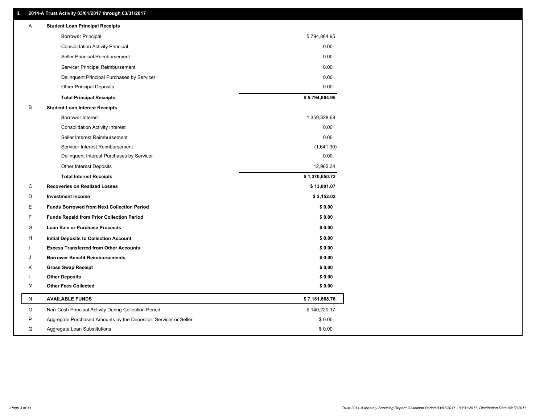## **II. 2014-A Trust Activity 03/01/2017 through 03/31/2017**

| Α         | <b>Student Loan Principal Receipts</b>                           |                |
|-----------|------------------------------------------------------------------|----------------|
|           | <b>Borrower Principal</b>                                        | 5,794,864.95   |
|           | <b>Consolidation Activity Principal</b>                          | 0.00           |
|           | Seller Principal Reimbursement                                   | 0.00           |
|           | Servicer Principal Reimbursement                                 | 0.00           |
|           | Delinquent Principal Purchases by Servicer                       | 0.00           |
|           | <b>Other Principal Deposits</b>                                  | 0.00           |
|           | <b>Total Principal Receipts</b>                                  | \$5,794,864.95 |
| B         | <b>Student Loan Interest Receipts</b>                            |                |
|           | <b>Borrower Interest</b>                                         | 1,359,328.68   |
|           | <b>Consolidation Activity Interest</b>                           | 0.00           |
|           | Seller Interest Reimbursement                                    | 0.00           |
|           | Servicer Interest Reimbursement                                  | (1,641.30)     |
|           | Delinquent Interest Purchases by Servicer                        | 0.00           |
|           | Other Interest Deposits                                          | 12,963.34      |
|           | <b>Total Interest Receipts</b>                                   | \$1,370,650.72 |
| С         | <b>Recoveries on Realized Losses</b>                             | \$13,001.07    |
| D         | <b>Investment Income</b>                                         | \$3,152.02     |
| Е         | <b>Funds Borrowed from Next Collection Period</b>                | \$0.00         |
| F         | <b>Funds Repaid from Prior Collection Period</b>                 | \$0.00         |
| G         | Loan Sale or Purchase Proceeds                                   | \$0.00         |
| н         | Initial Deposits to Collection Account                           | \$0.00         |
|           | <b>Excess Transferred from Other Accounts</b>                    | \$0.00         |
| ا.        | <b>Borrower Benefit Reimbursements</b>                           | \$0.00         |
| Κ         | <b>Gross Swap Receipt</b>                                        | \$0.00         |
| L         | <b>Other Deposits</b>                                            | \$0.00         |
| М         | <b>Other Fees Collected</b>                                      | \$0.00         |
| ${\sf N}$ | <b>AVAILABLE FUNDS</b>                                           | \$7,181,668.76 |
| O         | Non-Cash Principal Activity During Collection Period             | \$140,220.17   |
| P         | Aggregate Purchased Amounts by the Depositor, Servicer or Seller | \$0.00         |
| Q         | Aggregate Loan Substitutions                                     | \$0.00         |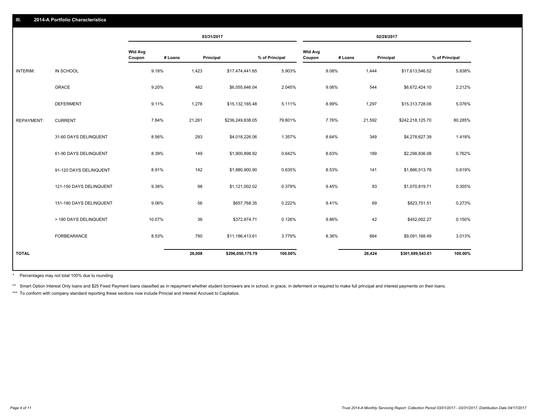|                   |                         |                          | 03/31/2017           |                  |                | 02/28/2017               |         |                  |                |
|-------------------|-------------------------|--------------------------|----------------------|------------------|----------------|--------------------------|---------|------------------|----------------|
|                   |                         | <b>Wtd Avg</b><br>Coupon | # Loans<br>Principal |                  | % of Principal | <b>Wtd Avg</b><br>Coupon | # Loans | Principal        | % of Principal |
| INTERIM:          | IN SCHOOL               | 9.18%                    | 1,423                | \$17,474,441.65  | 5.903%         | 9.08%                    | 1,444   | \$17,613,546.52  | 5.838%         |
|                   | <b>GRACE</b>            | 9.20%                    | 482                  | \$6,055,646.04   | 2.045%         | 9.06%                    | 544     | \$6,672,424.10   | 2.212%         |
|                   | <b>DEFERMENT</b>        | 9.11%                    | 1,278                | \$15,132,165.48  | 5.111%         | 8.99%                    | 1,297   | \$15,313,728.06  | 5.076%         |
| <b>REPAYMENT:</b> | <b>CURRENT</b>          | 7.84%                    | 21,261               | \$236,249,838.05 | 79.801%        | 7.76%                    | 21,592  | \$242,218,125.70 | 80.285%        |
|                   | 31-60 DAYS DELINQUENT   | 8.56%                    | 293                  | \$4,018,226.06   | 1.357%         | 8.64%                    | 349     | \$4,278,627.39   | 1.418%         |
|                   | 61-90 DAYS DELINQUENT   | 8.39%                    | 149                  | \$1,900,898.92   | 0.642%         | 8.63%                    | 189     | \$2,298,836.08   | 0.762%         |
|                   | 91-120 DAYS DELINQUENT  | 8.91%                    | 142                  | \$1,880,900.90   | 0.635%         | 8.53%                    | 141     | \$1,866,513.78   | 0.619%         |
|                   | 121-150 DAYS DELINQUENT | 9.38%                    | 98                   | \$1,121,002.02   | 0.379%         | 9.45%                    | 93      | \$1,070,819.71   | 0.355%         |
|                   | 151-180 DAYS DELINQUENT | 9.06%                    | 56                   | \$657,768.35     | 0.222%         | 9.41%                    | 69      | \$823,751.51     | 0.273%         |
|                   | > 180 DAYS DELINQUENT   | 10.07%                   | 36                   | \$372,874.71     | 0.126%         | 9.86%                    | 42      | \$452,002.27     | 0.150%         |
|                   | FORBEARANCE             | 8.53%                    | 790                  | \$11,186,413.61  | 3.779%         | 8.36%                    | 664     | \$9,091,168.49   | 3.013%         |
|                   |                         |                          | 26,008               | \$296,050,175.79 | 100.00%        |                          | 26,424  | \$301,699,543.61 | 100.00%        |
| <b>TOTAL</b>      |                         |                          |                      |                  |                |                          |         |                  |                |

Percentages may not total 100% due to rounding \*

\*\* Smart Option Interest Only loans and \$25 Fixed Payment loans classified as in repayment whether student borrowers are in school, in grace, in deferment or required to make full principal and interest payments on their l

\*\*\* To conform with company standard reporting these sections now include Princial and Interest Accrued to Capitalize.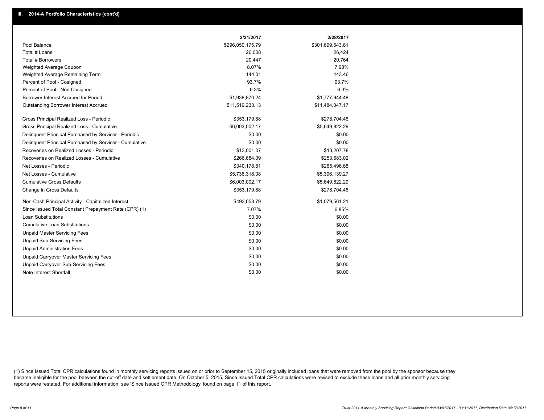|                                                         | 3/31/2017        | 2/28/2017        |
|---------------------------------------------------------|------------------|------------------|
| Pool Balance                                            | \$296,050,175.79 | \$301,699,543.61 |
| Total # Loans                                           | 26,008           | 26,424           |
| Total # Borrowers                                       | 20,447           | 20,764           |
| Weighted Average Coupon                                 | 8.07%            | 7.98%            |
| Weighted Average Remaining Term                         | 144.01           | 143.46           |
| Percent of Pool - Cosigned                              | 93.7%            | 93.7%            |
| Percent of Pool - Non Cosigned                          | 6.3%             | 6.3%             |
| Borrower Interest Accrued for Period                    | \$1,938,870.24   | \$1,777,944.48   |
| Outstanding Borrower Interest Accrued                   | \$11,519,233.13  | \$11,484,047.17  |
| Gross Principal Realized Loss - Periodic                | \$353,179.88     | \$278,704.46     |
| Gross Principal Realized Loss - Cumulative              | \$6,003,002.17   | \$5,649,822.29   |
| Delinguent Principal Purchased by Servicer - Periodic   | \$0.00           | \$0.00           |
| Delinguent Principal Purchased by Servicer - Cumulative | \$0.00           | \$0.00           |
| Recoveries on Realized Losses - Periodic                | \$13,001.07      | \$13,207.78      |
| Recoveries on Realized Losses - Cumulative              | \$266,684.09     | \$253,683.02     |
| Net Losses - Periodic                                   | \$340,178.81     | \$265,496.68     |
| Net Losses - Cumulative                                 | \$5,736,318.08   | \$5,396,139.27   |
| <b>Cumulative Gross Defaults</b>                        | \$6,003,002.17   | \$5,649,822.29   |
| Change in Gross Defaults                                | \$353,179.88     | \$278,704.46     |
| Non-Cash Principal Activity - Capitalized Interest      | \$493,658.79     | \$1,079,561.21   |
| Since Issued Total Constant Prepayment Rate (CPR) (1)   | 7.07%            | 6.85%            |
| <b>Loan Substitutions</b>                               | \$0.00           | \$0.00           |
| <b>Cumulative Loan Substitutions</b>                    | \$0.00           | \$0.00           |
| <b>Unpaid Master Servicing Fees</b>                     | \$0.00           | \$0.00           |
| <b>Unpaid Sub-Servicing Fees</b>                        | \$0.00           | \$0.00           |
| <b>Unpaid Administration Fees</b>                       | \$0.00           | \$0.00           |
| Unpaid Carryover Master Servicing Fees                  | \$0.00           | \$0.00           |
| Unpaid Carryover Sub-Servicing Fees                     | \$0.00           | \$0.00           |
| Note Interest Shortfall                                 | \$0.00           | \$0.00           |

(1) Since Issued Total CPR calculations found in monthly servicing reports issued on or prior to September 15, 2015 originally included loans that were removed from the pool by the sponsor because they became ineligible for the pool between the cut-off date and settlement date. On October 5, 2015, Since Issued Total CPR calculations were revised to exclude these loans and all prior monthly servicing reports were restated. For additional information, see 'Since Issued CPR Methodology' found on page 11 of this report.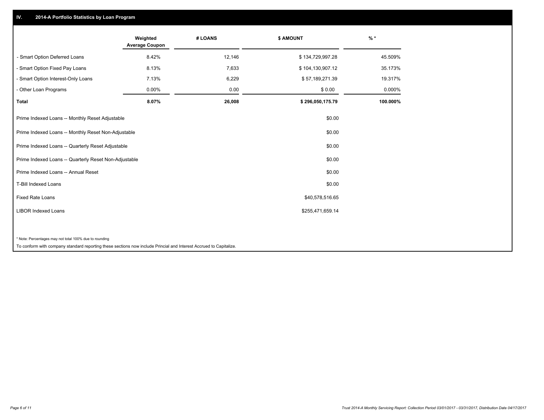## **IV. 2014-A Portfolio Statistics by Loan Program**

|                                                                                                                                                                                                                                                                                                                                                                                                                                                                                        | Weighted<br><b>Average Coupon</b>          | # LOANS | <b>\$ AMOUNT</b> | $%$ *    |
|----------------------------------------------------------------------------------------------------------------------------------------------------------------------------------------------------------------------------------------------------------------------------------------------------------------------------------------------------------------------------------------------------------------------------------------------------------------------------------------|--------------------------------------------|---------|------------------|----------|
| - Smart Option Deferred Loans                                                                                                                                                                                                                                                                                                                                                                                                                                                          | 8.42%                                      | 12,146  | \$134,729,997.28 | 45.509%  |
| - Smart Option Fixed Pay Loans                                                                                                                                                                                                                                                                                                                                                                                                                                                         | 8.13%                                      | 7,633   | \$104,130,907.12 | 35.173%  |
| - Smart Option Interest-Only Loans                                                                                                                                                                                                                                                                                                                                                                                                                                                     | 7.13%                                      | 6,229   | \$57,189,271.39  | 19.317%  |
| - Other Loan Programs                                                                                                                                                                                                                                                                                                                                                                                                                                                                  | $0.00\%$                                   | 0.00    | \$0.00           | 0.000%   |
| Total                                                                                                                                                                                                                                                                                                                                                                                                                                                                                  | 8.07%                                      | 26,008  | \$296,050,175.79 | 100.000% |
| Prime Indexed Loans -- Monthly Reset Adjustable                                                                                                                                                                                                                                                                                                                                                                                                                                        |                                            |         | \$0.00           |          |
| Prime Indexed Loans -- Monthly Reset Non-Adjustable                                                                                                                                                                                                                                                                                                                                                                                                                                    |                                            |         | \$0.00           |          |
| Prime Indexed Loans -- Quarterly Reset Adjustable                                                                                                                                                                                                                                                                                                                                                                                                                                      |                                            |         | \$0.00           |          |
| Prime Indexed Loans -- Quarterly Reset Non-Adjustable                                                                                                                                                                                                                                                                                                                                                                                                                                  |                                            |         | \$0.00           |          |
| Prime Indexed Loans -- Annual Reset                                                                                                                                                                                                                                                                                                                                                                                                                                                    |                                            |         | \$0.00           |          |
| <b>T-Bill Indexed Loans</b>                                                                                                                                                                                                                                                                                                                                                                                                                                                            |                                            |         | \$0.00           |          |
| <b>Fixed Rate Loans</b>                                                                                                                                                                                                                                                                                                                                                                                                                                                                |                                            |         | \$40,578,516.65  |          |
| <b>LIBOR Indexed Loans</b>                                                                                                                                                                                                                                                                                                                                                                                                                                                             |                                            |         | \$255,471,659.14 |          |
|                                                                                                                                                                                                                                                                                                                                                                                                                                                                                        |                                            |         |                  |          |
| * Note: Percentages may not total 100% due to rounding<br>$\mathbf{r} = \mathbf{r} + \mathbf{r} + \mathbf{r} + \mathbf{r} + \mathbf{r} + \mathbf{r} + \mathbf{r} + \mathbf{r} + \mathbf{r} + \mathbf{r} + \mathbf{r} + \mathbf{r} + \mathbf{r} + \mathbf{r} + \mathbf{r} + \mathbf{r} + \mathbf{r} + \mathbf{r} + \mathbf{r} + \mathbf{r} + \mathbf{r} + \mathbf{r} + \mathbf{r} + \mathbf{r} + \mathbf{r} + \mathbf{r} + \mathbf{r} + \mathbf{r} + \mathbf{r} + \mathbf{r} + \mathbf$ | <b>Contract Contract Contract Contract</b> |         |                  |          |

To conform with company standard reporting these sections now include Princial and Interest Accrued to Capitalize.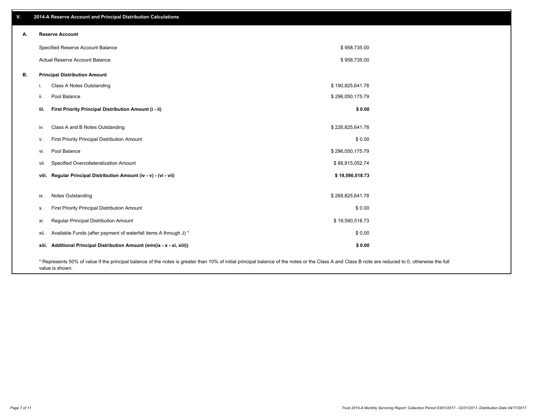| v. | 2014-A Reserve Account and Principal Distribution Calculations                                                                                                                                     |                  |  |
|----|----------------------------------------------------------------------------------------------------------------------------------------------------------------------------------------------------|------------------|--|
| А. | <b>Reserve Account</b>                                                                                                                                                                             |                  |  |
|    | Specified Reserve Account Balance                                                                                                                                                                  | \$958,735.00     |  |
|    | Actual Reserve Account Balance                                                                                                                                                                     | \$958,735.00     |  |
| В. | <b>Principal Distribution Amount</b>                                                                                                                                                               |                  |  |
|    | Class A Notes Outstanding<br>i.                                                                                                                                                                    | \$190,825,641.78 |  |
|    | Pool Balance<br>ii.                                                                                                                                                                                | \$296,050,175.79 |  |
|    | First Priority Principal Distribution Amount (i - ii)<br>iii.                                                                                                                                      | \$0.00           |  |
|    | Class A and B Notes Outstanding<br>iv.                                                                                                                                                             | \$226,825,641.78 |  |
|    | First Priority Principal Distribution Amount<br>v.                                                                                                                                                 | \$0.00           |  |
|    | Pool Balance<br>vi.                                                                                                                                                                                | \$296,050,175.79 |  |
|    | Specified Overcollateralization Amount<br>vii.                                                                                                                                                     | \$88,815,052.74  |  |
|    | viii. Regular Principal Distribution Amount (iv - v) - (vi - vii)                                                                                                                                  | \$19,590,518.73  |  |
|    | Notes Outstanding<br>ix.                                                                                                                                                                           | \$268,825,641.78 |  |
|    | First Priority Principal Distribution Amount<br>Х.                                                                                                                                                 | \$0.00           |  |
|    | Regular Principal Distribution Amount<br>xi.                                                                                                                                                       | \$19,590,518.73  |  |
|    | Available Funds (after payment of waterfall items A through J) *<br>xii.                                                                                                                           | \$0.00           |  |
|    | xiii. Additional Principal Distribution Amount (min(ix - x - xi, xiii))                                                                                                                            | \$0.00           |  |
|    | * Represents 50% of value if the principal balance of the notes is greater than 10% of initial principal balance of the notes or the Class A and Class B note are reduced to 0, otherwise the full |                  |  |

value is shown.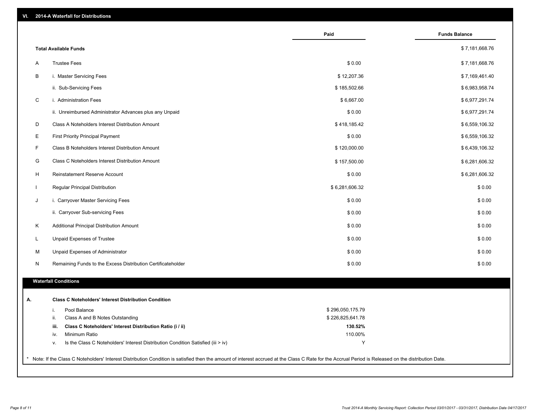| VI. |  | 2014-A Waterfall for Distributions |  |  |  |
|-----|--|------------------------------------|--|--|--|
|-----|--|------------------------------------|--|--|--|

|                              |                                                                                  | Paid             | <b>Funds Balance</b> |
|------------------------------|----------------------------------------------------------------------------------|------------------|----------------------|
| <b>Total Available Funds</b> |                                                                                  |                  | \$7,181,668.76       |
| <b>Trustee Fees</b><br>Α     |                                                                                  | \$0.00           | \$7,181,668.76       |
| В                            | i. Master Servicing Fees                                                         | \$12,207.36      | \$7,169,461.40       |
|                              | ii. Sub-Servicing Fees                                                           | \$185,502.66     | \$6,983,958.74       |
| C                            | i. Administration Fees                                                           | \$6,667.00       | \$6,977,291.74       |
|                              | ii. Unreimbursed Administrator Advances plus any Unpaid                          | \$0.00           | \$6,977,291.74       |
| D                            | Class A Noteholders Interest Distribution Amount                                 | \$418,185.42     | \$6,559,106.32       |
| Е                            | <b>First Priority Principal Payment</b>                                          | \$0.00           | \$6,559,106.32       |
| F                            | Class B Noteholders Interest Distribution Amount                                 | \$120,000.00     | \$6,439,106.32       |
| G                            | Class C Noteholders Interest Distribution Amount                                 | \$157,500.00     | \$6,281,606.32       |
| H                            | Reinstatement Reserve Account                                                    | \$0.00           | \$6,281,606.32       |
| $\mathbf{I}$                 | Regular Principal Distribution                                                   | \$6,281,606.32   | \$0.00               |
| J                            | i. Carryover Master Servicing Fees                                               | \$0.00           | \$0.00               |
|                              | ii. Carryover Sub-servicing Fees                                                 | \$0.00           | \$0.00               |
| Κ                            | Additional Principal Distribution Amount                                         | \$0.00           | \$0.00               |
| L                            | Unpaid Expenses of Trustee                                                       | \$0.00           | \$0.00               |
| M                            | Unpaid Expenses of Administrator                                                 | \$0.00           | \$0.00               |
| N                            | Remaining Funds to the Excess Distribution Certificateholder                     | \$0.00           | \$0.00               |
| <b>Waterfall Conditions</b>  |                                                                                  |                  |                      |
|                              | <b>Class C Noteholders' Interest Distribution Condition</b>                      |                  |                      |
| i.                           | Pool Balance                                                                     | \$296,050,175.79 |                      |
| ii.                          | Class A and B Notes Outstanding                                                  | \$226,825,641.78 |                      |
| iii.                         | Class C Noteholders' Interest Distribution Ratio (i / ii)                        | 130.52%          |                      |
| iv.                          | Minimum Ratio                                                                    | 110.00%          |                      |
| ٧.                           | Is the Class C Noteholders' Interest Distribution Condition Satisfied (iii > iv) | Y                |                      |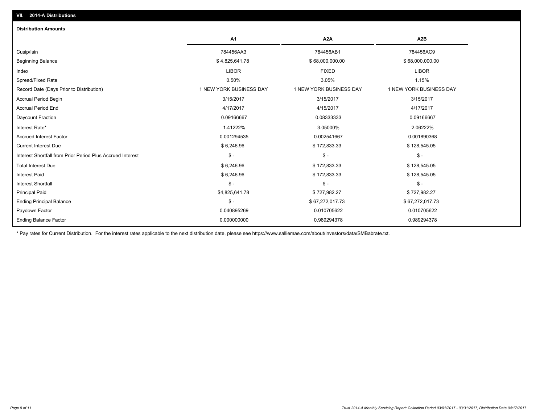| <b>Distribution Amounts</b>                                |                         |                         |                         |
|------------------------------------------------------------|-------------------------|-------------------------|-------------------------|
|                                                            | <b>A1</b>               | A <sub>2</sub> A        | A <sub>2</sub> B        |
| Cusip/Isin                                                 | 784456AA3               | 784456AB1               | 784456AC9               |
| <b>Beginning Balance</b>                                   | \$4,825,641.78          | \$68,000,000.00         | \$68,000,000.00         |
| Index                                                      | <b>LIBOR</b>            | <b>FIXED</b>            | <b>LIBOR</b>            |
| Spread/Fixed Rate                                          | 0.50%                   | 3.05%                   | 1.15%                   |
| Record Date (Days Prior to Distribution)                   | 1 NEW YORK BUSINESS DAY | 1 NEW YORK BUSINESS DAY | 1 NEW YORK BUSINESS DAY |
| <b>Accrual Period Begin</b>                                | 3/15/2017               | 3/15/2017               | 3/15/2017               |
| <b>Accrual Period End</b>                                  | 4/17/2017               | 4/15/2017               | 4/17/2017               |
| Daycount Fraction                                          | 0.09166667              | 0.08333333              | 0.09166667              |
| Interest Rate*                                             | 1.41222%                | 3.05000%                | 2.06222%                |
| <b>Accrued Interest Factor</b>                             | 0.001294535             | 0.002541667             | 0.001890368             |
| <b>Current Interest Due</b>                                | \$6,246.96              | \$172,833.33            | \$128,545.05            |
| Interest Shortfall from Prior Period Plus Accrued Interest | $\mathsf{\$}$ -         | $\mathsf{\$}$ -         | $\mathsf{\$}$ -         |
| <b>Total Interest Due</b>                                  | \$6,246.96              | \$172,833.33            | \$128,545.05            |
| <b>Interest Paid</b>                                       | \$6,246.96              | \$172,833.33            | \$128,545.05            |
| <b>Interest Shortfall</b>                                  | $\mathsf{\$}$ -         | $S -$                   | $\mathsf{\$}$ -         |
| <b>Principal Paid</b>                                      | \$4,825,641.78          | \$727,982.27            | \$727,982.27            |
| <b>Ending Principal Balance</b>                            | $\mathsf{\$}$ -         | \$67,272,017.73         | \$67,272,017.73         |
| Paydown Factor                                             | 0.040895269             | 0.010705622             | 0.010705622             |
| <b>Ending Balance Factor</b>                               | 0.000000000             | 0.989294378             | 0.989294378             |

\* Pay rates for Current Distribution. For the interest rates applicable to the next distribution date, please see https://www.salliemae.com/about/investors/data/SMBabrate.txt.

**VII. 2014-A Distributions**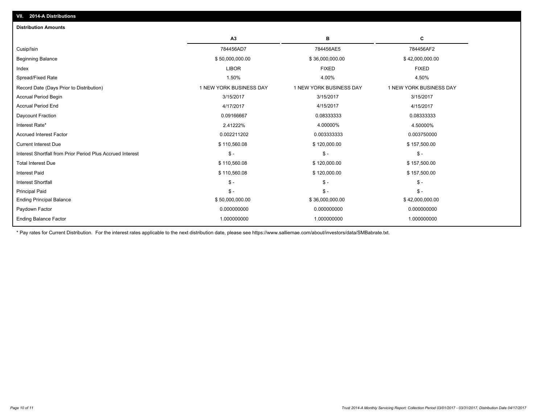| <b>Distribution Amounts</b>                                |                         |                         |                         |
|------------------------------------------------------------|-------------------------|-------------------------|-------------------------|
|                                                            | A <sub>3</sub>          | в                       | c                       |
| Cusip/Isin                                                 | 784456AD7               | 784456AE5               | 784456AF2               |
| <b>Beginning Balance</b>                                   | \$50,000,000.00         | \$36,000,000.00         | \$42,000,000.00         |
| Index                                                      | <b>LIBOR</b>            | <b>FIXED</b>            | <b>FIXED</b>            |
| Spread/Fixed Rate                                          | 1.50%                   | 4.00%                   | 4.50%                   |
| Record Date (Days Prior to Distribution)                   | 1 NEW YORK BUSINESS DAY | 1 NEW YORK BUSINESS DAY | 1 NEW YORK BUSINESS DAY |
| <b>Accrual Period Begin</b>                                | 3/15/2017               | 3/15/2017               | 3/15/2017               |
| <b>Accrual Period End</b>                                  | 4/17/2017               | 4/15/2017               | 4/15/2017               |
| Daycount Fraction                                          | 0.09166667              | 0.08333333              | 0.08333333              |
| Interest Rate*                                             | 2.41222%                | 4.00000%                | 4.50000%                |
| <b>Accrued Interest Factor</b>                             | 0.002211202             | 0.003333333             | 0.003750000             |
| <b>Current Interest Due</b>                                | \$110,560.08            | \$120,000.00            | \$157,500.00            |
| Interest Shortfall from Prior Period Plus Accrued Interest | $S -$                   | $$ -$                   | $\mathsf{\$}$ -         |
| <b>Total Interest Due</b>                                  | \$110,560.08            | \$120,000.00            | \$157,500.00            |
| <b>Interest Paid</b>                                       | \$110,560.08            | \$120,000.00            | \$157,500.00            |
| <b>Interest Shortfall</b>                                  | $S -$                   | $S -$                   | $\mathsf{\$}$ -         |
| <b>Principal Paid</b>                                      | $S -$                   | $\mathsf{\$}$ -         | $\mathsf{\$}$ -         |
| <b>Ending Principal Balance</b>                            | \$50,000,000.00         | \$36,000,000.00         | \$42,000,000.00         |
| Paydown Factor                                             | 0.000000000             | 0.000000000             | 0.000000000             |
| <b>Ending Balance Factor</b>                               | 1.000000000             | 1.000000000             | 1.000000000             |

\* Pay rates for Current Distribution. For the interest rates applicable to the next distribution date, please see https://www.salliemae.com/about/investors/data/SMBabrate.txt.

**VII. 2014-A Distributions**